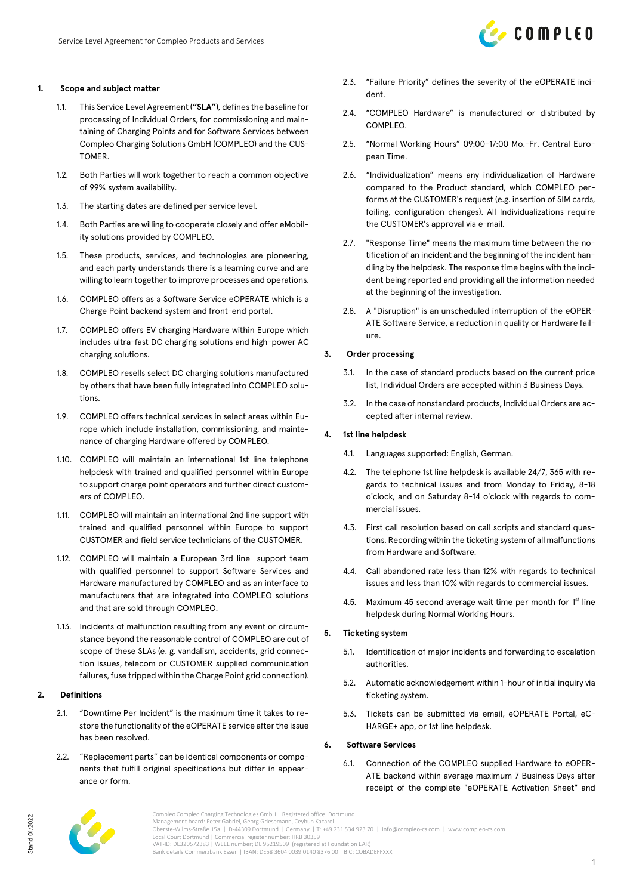## **1. Scope and subject matter**

- 1.1. This Service Level Agreement (**"SLA"**), defines the baseline for processing of Individual Orders, for commissioning and maintaining of Charging Points and for Software Services between Compleo Charging Solutions GmbH (COMPLEO) and the CUS-TOMER.
- 1.2. Both Parties will work together to reach a common objective of 99% system availability.
- 1.3. The starting dates are defined per service level.
- 1.4. Both Parties are willing to cooperate closely and offer eMobility solutions provided by COMPLEO.
- 1.5. These products, services, and technologies are pioneering, and each party understands there is a learning curve and are willing to learn together to improve processes and operations.
- 1.6. COMPLEO offers as a Software Service eOPERATE which is a Charge Point backend system and front-end portal.
- 1.7. COMPLEO offers EV charging Hardware within Europe which includes ultra-fast DC charging solutions and high-power AC charging solutions.
- 1.8. COMPLEO resells select DC charging solutions manufactured by others that have been fully integrated into COMPLEO solutions.
- 1.9. COMPLEO offers technical services in select areas within Europe which include installation, commissioning, and maintenance of charging Hardware offered by COMPLEO.
- 1.10. COMPLEO will maintain an international 1st line telephone helpdesk with trained and qualified personnel within Europe to support charge point operators and further direct customers of COMPLEO.
- 1.11. COMPLEO will maintain an international 2nd line support with trained and qualified personnel within Europe to support CUSTOMER and field service technicians of the CUSTOMER.
- 1.12. COMPLEO will maintain a European 3rd line support team with qualified personnel to support Software Services and Hardware manufactured by COMPLEO and as an interface to manufacturers that are integrated into COMPLEO solutions and that are sold through COMPLEO.
- 1.13. Incidents of malfunction resulting from any event or circumstance beyond the reasonable control of COMPLEO are out of scope of these SLAs (e. g. vandalism, accidents, grid connection issues, telecom or CUSTOMER supplied communication failures, fuse tripped within the Charge Point grid connection).

### **2. Definitions**

- 2.1. "Downtime Per Incident" is the maximum time it takes to restore the functionality of the eOPERATE service after the issue has been resolved.
- 2.2. "Replacement parts" can be identical components or components that fulfill original specifications but differ in appearance or form.
- 2.3. "Failure Priority" defines the severity of the eOPERATE incident.
- 2.4. "COMPLEO Hardware" is manufactured or distributed by COMPLEO.
- 2.5. "Normal Working Hours" 09:00-17:00 Mo.-Fr. Central European Time.
- 2.6. "Individualization" means any individualization of Hardware compared to the Product standard, which COMPLEO performs at the CUSTOMER's request (e.g. insertion of SIM cards, foiling, configuration changes). All Individualizations require the CUSTOMER's approval via e-mail.
- 2.7. "Response Time" means the maximum time between the notification of an incident and the beginning of the incident handling by the helpdesk. The response time begins with the incident being reported and providing all the information needed at the beginning of the investigation.
- 2.8. A "Disruption" is an unscheduled interruption of the eOPER-ATE Software Service, a reduction in quality or Hardware failure.

#### **3. Order processing**

- 3.1. In the case of standard products based on the current price list, Individual Orders are accepted within 3 Business Days.
- 3.2. In the case of nonstandard products, Individual Orders are accepted after internal review.

#### **4. 1st line helpdesk**

- 4.1. Languages supported: English, German.
- 4.2. The telephone 1st line helpdesk is available 24/7, 365 with regards to technical issues and from Monday to Friday, 8-18 o'clock, and on Saturday 8-14 o'clock with regards to commercial issues.
- 4.3. First call resolution based on call scripts and standard questions. Recording within the ticketing system of all malfunctions from Hardware and Software.
- 4.4. Call abandoned rate less than 12% with regards to technical issues and less than 10% with regards to commercial issues.
- 4.5. Maximum 45 second average wait time per month for  $1<sup>st</sup>$  line helpdesk during Normal Working Hours.

## **5. Ticketing system**

- 5.1. Identification of major incidents and forwarding to escalation authorities.
- 5.2. Automatic acknowledgement within 1-hour of initial inquiry via ticketing system.
- 5.3. Tickets can be submitted via email, eOPERATE Portal, eC-HARGE+ app, or 1st line helpdesk.

#### **6. Software Services**

6.1. Connection of the COMPLEO supplied Hardware to eOPER-ATE backend within average maximum 7 Business Days after receipt of the complete "eOPERATE Activation Sheet" and



Compleo Compleo Charging Technologies GmbH | Registered office: Dortmund Management board: Peter Gabriel, Georg Griesemann, Ceyhun Kacarel Oberste-Wilms-Straße 15a | D-44309 Dortmund | Germany | T: +49 231 534 923 70 | info@compleo-cs.com | www.compleo-cs.com Local Court Dortmund | Commercial register number: HRB 30359 VAT-ID: DE320572383 | WEEE number; DE 95219509 (registered at Foundation EAR) Bank details:Commerzbank Essen | IBAN: DE58 3604 0039 0140 8376 00 | BIC: COBADEFFXXX

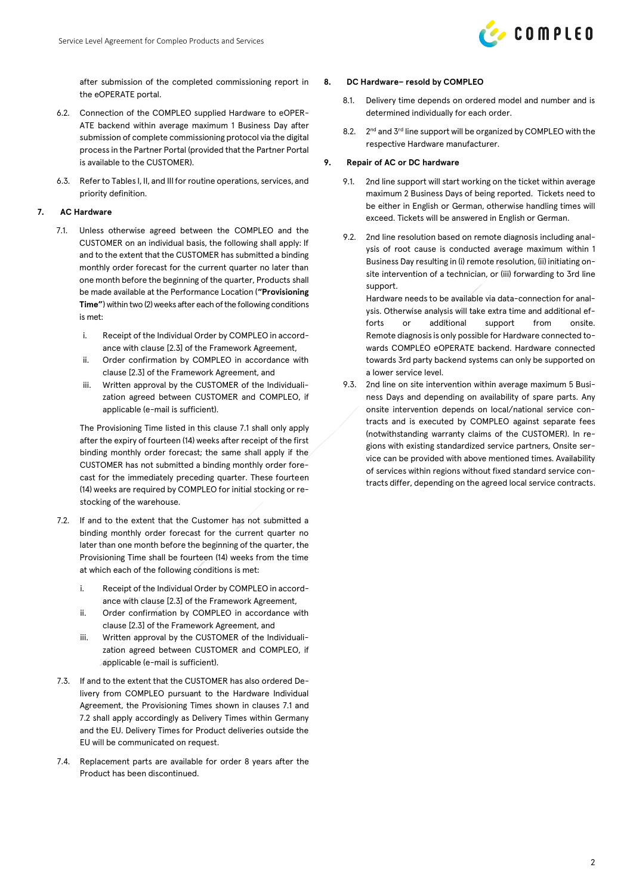

after submission of the completed commissioning report in the eOPERATE portal.

- 6.2. Connection of the COMPLEO supplied Hardware to eOPER-ATE backend within average maximum 1 Business Day after submission of complete commissioning protocol via the digital process in the Partner Portal (provided that the Partner Portal is available to the CUSTOMER).
- 6.3. Refer to Tables I, II, and III for routine operations, services, and priority definition.

## <span id="page-1-0"></span>**7. AC Hardware**

- 7.1. Unless otherwise agreed between the COMPLEO and the CUSTOMER on an individual basis, the following shall apply: If and to the extent that the CUSTOMER has submitted a binding monthly order forecast for the current quarter no later than one month before the beginning of the quarter, Products shall be made available at the Performance Location (**"Provisioning Time"**) within two (2) weeks after each of the following conditions is met:
	- i. Receipt of the Individual Order by COMPLEO in accordance with clause [2.3] of the Framework Agreement,
	- ii. Order confirmation by COMPLEO in accordance with clause [2.3] of the Framework Agreement, and
	- iii. Written approval by the CUSTOMER of the Individualization agreed between CUSTOMER and COMPLEO, if applicable (e-mail is sufficient).

The Provisioning Time listed in this claus[e 7.1](#page-1-0) shall only apply after the expiry of fourteen (14) weeks after receipt of the first binding monthly order forecast; the same shall apply if the CUSTOMER has not submitted a binding monthly order forecast for the immediately preceding quarter. These fourteen (14) weeks are required by COMPLEO for initial stocking or restocking of the warehouse.

- <span id="page-1-1"></span>7.2. If and to the extent that the Customer has not submitted a binding monthly order forecast for the current quarter no later than one month before the beginning of the quarter, the Provisioning Time shall be fourteen (14) weeks from the time at which each of the following conditions is met:
	- i. Receipt of the Individual Order by COMPLEO in accordance with clause [2.3] of the Framework Agreement,
	- ii. Order confirmation by COMPLEO in accordance with clause [2.3] of the Framework Agreement, and
	- iii. Written approval by the CUSTOMER of the Individualization agreed between CUSTOMER and COMPLEO, if applicable (e-mail is sufficient).
- 7.3. If and to the extent that the CUSTOMER has also ordered Delivery from COMPLEO pursuant to the Hardware Individual Agreement, the Provisioning Times shown in clauses [7.1](#page-1-0) and [7.2](#page-1-1) shall apply accordingly as Delivery Times within Germany and the EU. Delivery Times for Product deliveries outside the EU will be communicated on request.
- 7.4. Replacement parts are available for order 8 years after the Product has been discontinued.

#### **8. DC Hardware– resold by COMPLEO**

- 8.1. Delivery time depends on ordered model and number and is determined individually for each order.
- $8.2.$  $2<sup>nd</sup>$  and  $3<sup>rd</sup>$  line support will be organized by COMPLEO with the respective Hardware manufacturer.

### **9. Repair of AC or DC hardware**

- 9.1. 2nd line support will start working on the ticket within average maximum 2 Business Days of being reported. Tickets need to be either in English or German, otherwise handling times will exceed. Tickets will be answered in English or German.
- 9.2. 2nd line resolution based on remote diagnosis including analysis of root cause is conducted average maximum within 1 Business Day resulting in (i) remote resolution, (ii) initiating onsite intervention of a technician, or (iii) forwarding to 3rd line support.

Hardware needs to be available via data-connection for analysis. Otherwise analysis will take extra time and additional efforts or additional support from onsite. Remote diagnosis is only possible for Hardware connected towards COMPLEO eOPERATE backend. Hardware connected towards 3rd party backend systems can only be supported on a lower service level.

9.3. 2nd line on site intervention within average maximum 5 Business Days and depending on availability of spare parts. Any onsite intervention depends on local/national service contracts and is executed by COMPLEO against separate fees (notwithstanding warranty claims of the CUSTOMER). In regions with existing standardized service partners, Onsite service can be provided with above mentioned times. Availability of services within regions without fixed standard service contracts differ, depending on the agreed local service contracts.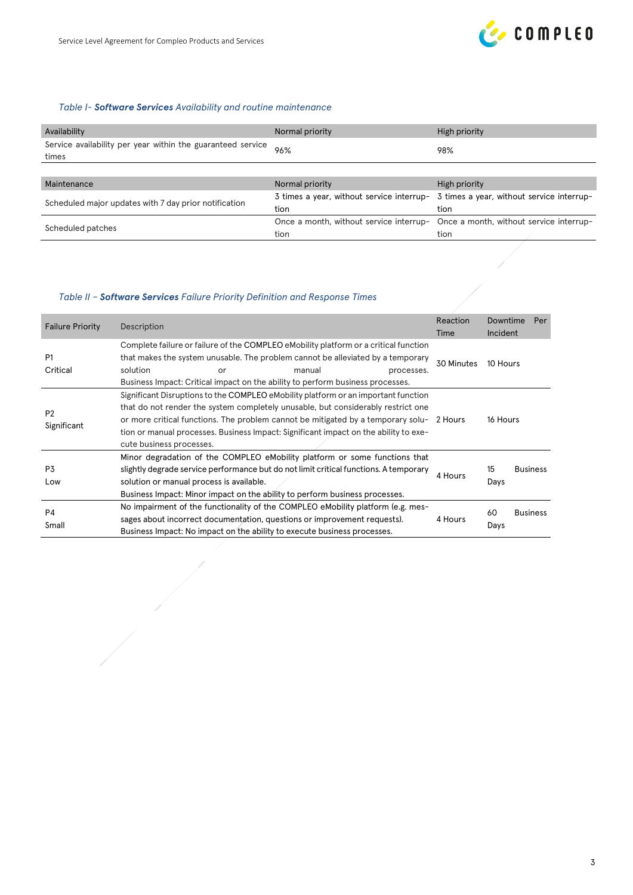

# *Table I- Software Services Availability and routine maintenance*

| Availability                                                         | Normal priority | High priority                                                                       |
|----------------------------------------------------------------------|-----------------|-------------------------------------------------------------------------------------|
| Service availability per year within the guaranteed service<br>times | 96%             | 98%                                                                                 |
|                                                                      |                 |                                                                                     |
| Maintenance                                                          | Normal priority | High priority                                                                       |
| Scheduled major updates with 7 day prior notification                |                 | 3 times a year, without service interrup- 3 times a year, without service interrup- |
|                                                                      | tion            | tion                                                                                |
| Scheduled patches                                                    |                 | Once a month, without service interrup- Once a month, without service interrup-     |
|                                                                      | tion            | tion                                                                                |

# *Table II – Software Services Failure Priority Definition and Response Times*

 $\frac{1}{\sqrt{2}}$ 

| <b>Failure Priority</b>       | Reaction<br>Description<br>Time                                                                                                                                                                                                                                                                                                                                                        |            | Downtime<br>Incident | Per             |
|-------------------------------|----------------------------------------------------------------------------------------------------------------------------------------------------------------------------------------------------------------------------------------------------------------------------------------------------------------------------------------------------------------------------------------|------------|----------------------|-----------------|
| P <sub>1</sub><br>Critical    | Complete failure or failure of the COMPLEO eMobility platform or a critical function<br>that makes the system unusable. The problem cannot be alleviated by a temporary<br>solution<br>manual<br>or<br>processes.<br>Business Impact: Critical impact on the ability to perform business processes.                                                                                    | 30 Minutes | 10 Hours             |                 |
| P <sub>2</sub><br>Significant | Significant Disruptions to the COMPLEO eMobility platform or an important function<br>that do not render the system completely unusable, but considerably restrict one<br>or more critical functions. The problem cannot be mitigated by a temporary solu- 2 Hours<br>tion or manual processes. Business Impact: Significant impact on the ability to exe-<br>cute business processes. |            | 16 Hours             |                 |
| P3<br>Low                     | Minor degradation of the COMPLEO eMobility platform or some functions that<br>slightly degrade service performance but do not limit critical functions. A temporary<br>solution or manual process is available.<br>Business Impact: Minor impact on the ability to perform business processes.                                                                                         | 4 Hours    | 15<br>Days           | <b>Business</b> |
| P4<br>Small                   | No impairment of the functionality of the COMPLEO eMobility platform (e.g. mes-<br>sages about incorrect documentation, questions or improvement requests).<br>Business Impact: No impact on the ability to execute business processes.                                                                                                                                                | 4 Hours    | 60<br>Days           | <b>Business</b> |